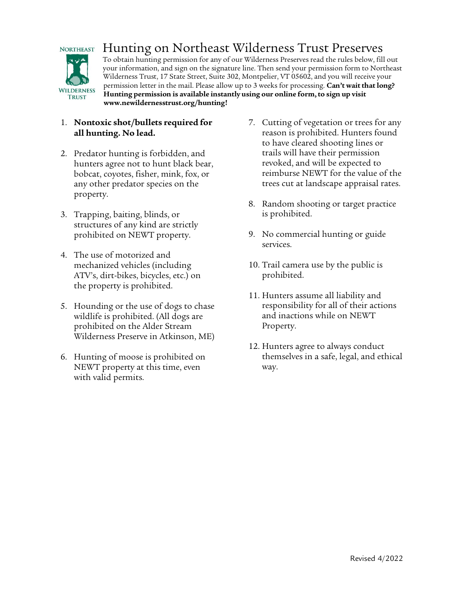

# Hunting on Northeast Wilderness Trust Preserves

To obtain hunting permission for any of our Wilderness Preserves read the rules below, fill out your information, and sign on the signature line. Then send your permission form to Northeast Wilderness Trust, 17 State Street, Suite 302, Montpelier, VT 05602, and you will receive your permission letter in the mail. Please allow up to 3 weeks for processing. **Can't wait that long? Hunting permission is available instantly using our online form, to sign up visit www.newildernesstrust.org/hunting!**

## 1. **Nontoxic shot/bullets required for all hunting. No lead.**

- 2. Predator hunting is forbidden, and hunters agree not to hunt black bear, bobcat, coyotes, fisher, mink, fox, or any other predator species on the property.
- 3. Trapping, baiting, blinds, or structures of any kind are strictly prohibited on NEWT property.
- 4. The use of motorized and mechanized vehicles (including ATV's, dirt-bikes, bicycles, etc.) on the property is prohibited.
- 5. Hounding or the use of dogs to chase wildlife is prohibited. (All dogs are prohibited on the Alder Stream Wilderness Preserve in Atkinson, ME)
- 6. Hunting of moose is prohibited on NEWT property at this time, even with valid permits.
- 7. Cutting of vegetation or trees for any reason is prohibited. Hunters found to have cleared shooting lines or trails will have their permission revoked, and will be expected to reimburse NEWT for the value of the trees cut at landscape appraisal rates.
- 8. Random shooting or target practice is prohibited.
- 9. No commercial hunting or guide services.
- 10. Trail camera use by the public is prohibited.
- 11. Hunters assume all liability and responsibility for all of their actions and inactions while on NEWT Property.
- 12. Hunters agree to always conduct themselves in a safe, legal, and ethical way.